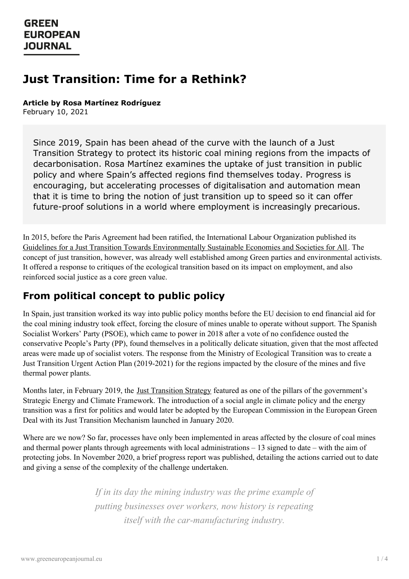# **Just Transition: Time for a Rethink?**

**Article by Rosa Martínez Rodríguez**

February 10, 2021

Since 2019, Spain has been ahead of the curve with the launch of a Just Transition Strategy to protect its historic coal mining regions from the impacts of decarbonisation. Rosa Martínez examines the uptake of just transition in public policy and where Spain's affected regions find themselves today. Progress is encouraging, but accelerating processes of digitalisation and automation mean that it is time to bring the notion of just transition up to speed so it can offer future-proof solutions in a world where employment is increasingly precarious.

In 2015, before the Paris Agreement had been ratified, the International Labour Organization published its Guidelines for a Just Transition Towards [Environmentally](https://www.ilo.org/wcmsp5/groups/public/---ed_emp/---emp_ent/documents/publication/wcms_432859.pdf) Sustainable Economies and Societies for All. The concept of just transition, however, was already well established among Green parties and environmental activists. It offered a response to critiques of the ecological transition based on its impact on employment, and also reinforced social justice as a core green value.

# **From political concept to public policy**

In Spain, just transition worked its way into public policy months before the EU decision to end financial aid for the coal mining industry took effect, forcing the closure of mines unable to operate without support. The Spanish Socialist Workers' Party (PSOE), which came to power in 2018 after a vote of no confidence ousted the conservative People's Party (PP), found themselves in a politically delicate situation, given that the most affected areas were made up of socialist voters. The response from the Ministry of Ecological Transition was to create a Just Transition Urgent Action Plan (2019-2021) for the regions impacted by the closure of the mines and five thermal power plants.

Months later, in February 2019, the Just [Transition](https://www.miteco.gob.es/images/es/etj-english_tcm30-508314.pdf) Strategy featured as one of the pillars of the government's Strategic Energy and Climate Framework. The introduction of a social angle in climate policy and the energy transition was a first for politics and would later be adopted by the European Commission in the European Green Deal with its Just Transition Mechanism launched in January 2020.

Where are we now? So far, processes have only been implemented in areas affected by the closure of coal mines and thermal power plants through agreements with local administrations – 13 signed to date – with the aim of protecting jobs. In November 2020, a brief progress report was published, detailing the actions carried out to date and giving a sense of the complexity of the challenge undertaken.

> *[If](https://www.greeneuropeanjournal.eu) in its day the mining industry was the prime example of putting businesses over workers, now history is repeating itself with the car-manufacturing industry.*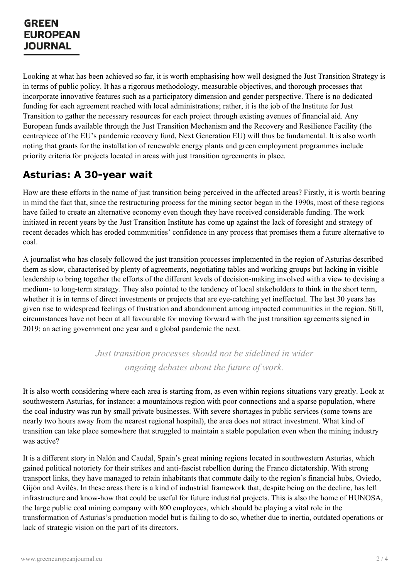# **GREEN EUROPEAN JOURNAL**

Looking at what has been achieved so far, it is worth emphasising how well designed the Just Transition Strategy is in terms of public policy. It has a rigorous methodology, measurable objectives, and thorough processes that incorporate innovative features such as a participatory dimension and gender perspective. There is no dedicated funding for each agreement reached with local administrations; rather, it is the job of the Institute for Just Transition to gather the necessary resources for each project through existing avenues of financial aid. Any European funds available through the Just Transition Mechanism and the Recovery and Resilience Facility (the centrepiece of the EU's pandemic recovery fund, Next Generation EU) will thus be fundamental. It is also worth noting that grants for the installation of renewable energy plants and green employment programmes include priority criteria for projects located in areas with just transition agreements in place.

# **Asturias: A 30-year wait**

How are these efforts in the name of just transition being perceived in the affected areas? Firstly, it is worth bearing in mind the fact that, since the restructuring process for the mining sector began in the 1990s, most of these regions have failed to create an alternative economy even though they have received considerable funding. The work initiated in recent years by the Just Transition Institute has come up against the lack of foresight and strategy of recent decades which has eroded communities' confidence in any process that promises them a future alternative to coal.

A journalist who has closely followed the just transition processes implemented in the region of Asturias described them as slow, characterised by plenty of agreements, negotiating tables and working groups but lacking in visible leadership to bring together the efforts of the different levels of decision-making involved with a view to devising a medium- to long-term strategy. They also pointed to the tendency of local stakeholders to think in the short term, whether it is in terms of direct investments or projects that are eye-catching yet ineffectual. The last 30 years has given rise to widespread feelings of frustration and abandonment among impacted communities in the region. Still, circumstances have not been at all favourable for moving forward with the just transition agreements signed in 2019: an acting government one year and a global pandemic the next.

> *Just transition processes should not be sidelined in wider ongoing debates about the future of work.*

It is also worth considering where each area is starting from, as even within regions situations vary greatly. Look at southwestern Asturias, for instance: a mountainous region with poor connections and a sparse population, where the coal industry was run by small private businesses. With severe shortages in public services (some towns are nearly two hours away from the nearest regional hospital), the area does not attract investment. What kind of transition can take place somewhere that struggled to maintain a stable population even when the mining industry was active?

It is a different story in Nalón and Caudal, Spain's great mining regions located in southwestern Asturias, which gained political notoriety for their strikes and anti-fascist rebellion during the Franco dictatorship. With strong transport links, they have managed to retain inhabitants that commute daily to the region's financial hubs, Oviedo, Gijón and [Avilés.](https://www.greeneuropeanjournal.eu) In these areas there is a kind of industrial framework that, despite being on the decline, has left infrastructure and know-how that could be useful for future industrial projects. This is also the home of HUNOSA, the large public coal mining company with 800 employees, which should be playing a vital role in the transformation of Asturias's production model but is failing to do so, whether due to inertia, outdated operations or lack of strategic vision on the part of its directors.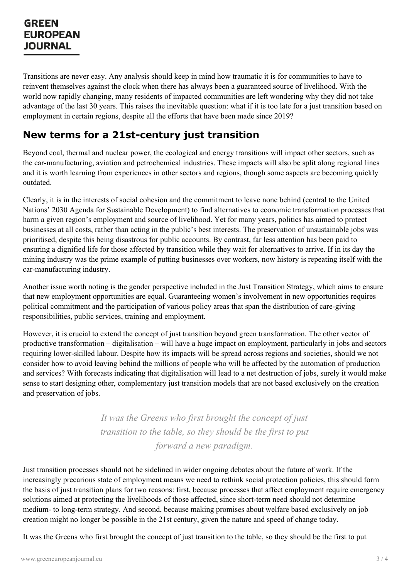### **GREEN EUROPEAN JOURNAL**

Transitions are never easy. Any analysis should keep in mind how traumatic it is for communities to have to reinvent themselves against the clock when there has always been a guaranteed source of livelihood. With the world now rapidly changing, many residents of impacted communities are left wondering why they did not take advantage of the last 30 years. This raises the inevitable question: what if it is too late for a just transition based on employment in certain regions, despite all the efforts that have been made since 2019?

# **New terms for a 21st-century just transition**

Beyond coal, thermal and nuclear power, the ecological and energy transitions will impact other sectors, such as the car-manufacturing, aviation and petrochemical industries. These impacts will also be split along regional lines and it is worth learning from experiences in other sectors and regions, though some aspects are becoming quickly outdated.

Clearly, it is in the interests of social cohesion and the commitment to leave none behind (central to the United Nations' 2030 Agenda for Sustainable Development) to find alternatives to economic transformation processes that harm a given region's employment and source of livelihood. Yet for many years, politics has aimed to protect businesses at all costs, rather than acting in the public's best interests. The preservation of unsustainable jobs was prioritised, despite this being disastrous for public accounts. By contrast, far less attention has been paid to ensuring a dignified life for those affected by transition while they wait for alternatives to arrive. If in its day the mining industry was the prime example of putting businesses over workers, now history is repeating itself with the car-manufacturing industry.

Another issue worth noting is the gender perspective included in the Just Transition Strategy, which aims to ensure that new employment opportunities are equal. Guaranteeing women's involvement in new opportunities requires political commitment and the participation of various policy areas that span the distribution of care-giving responsibilities, public services, training and employment.

However, it is crucial to extend the concept of just transition beyond green transformation. The other vector of productive transformation – digitalisation – will have a huge impact on employment, particularly in jobs and sectors requiring lower-skilled labour. Despite how its impacts will be spread across regions and societies, should we not consider how to avoid leaving behind the millions of people who will be affected by the automation of production and services? With forecasts indicating that digitalisation will lead to a net destruction of jobs, surely it would make sense to start designing other, complementary just transition models that are not based exclusively on the creation and preservation of jobs.

> *It was the Greens who first brought the concept of just transition to the table, so they should be the first to put forward a new paradigm.*

Just transition processes should not be sidelined in wider ongoing debates about the future of work. If the increasingly precarious state of employment means we need to rethink social protection policies, this should form the basis of just [transition](https://www.greeneuropeanjournal.eu) plans for two reasons: first, because processes that affect employment require emergency solutions aimed at protecting the livelihoods of those affected, since short-term need should not determine medium- to long-term strategy. And second, because making promises about welfare based exclusively on job creation might no longer be possible in the 21st century, given the nature and speed of change today.

It was the Greens who first brought the concept of just transition to the table, so they should be the first to put